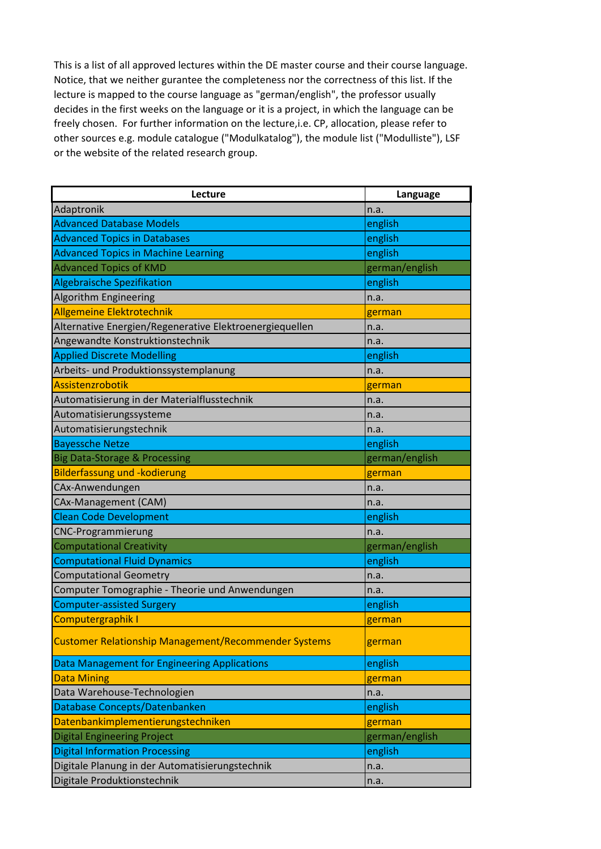| Lecture                                                     | Language       |
|-------------------------------------------------------------|----------------|
| Adaptronik                                                  | n.a.           |
| <b>Advanced Database Models</b>                             | english        |
| <b>Advanced Topics in Databases</b>                         | english        |
| <b>Advanced Topics in Machine Learning</b>                  | english        |
| <b>Advanced Topics of KMD</b>                               | german/english |
| <b>Algebraische Spezifikation</b>                           | english        |
| Algorithm Engineering                                       | n.a.           |
| Allgemeine Elektrotechnik                                   | german         |
| Alternative Energien/Regenerative Elektroenergiequellen     | n.a.           |
| Angewandte Konstruktionstechnik                             | n.a.           |
| <b>Applied Discrete Modelling</b>                           | english        |
| Arbeits- und Produktionssystemplanung                       | n.a.           |
| <b>Assistenzrobotik</b>                                     | german         |
| Automatisierung in der Materialflusstechnik                 | n.a.           |
| Automatisierungssysteme                                     | n.a.           |
| Automatisierungstechnik                                     | n.a.           |
| <b>Bayessche Netze</b>                                      | english        |
| <b>Big Data-Storage &amp; Processing</b>                    | german/english |
| <b>Bilderfassung und -kodierung</b>                         | german         |
| CAx-Anwendungen                                             | n.a.           |
| CAx-Management (CAM)                                        | n.a.           |
| <b>Clean Code Development</b>                               | english        |
| <b>CNC-Programmierung</b>                                   | n.a.           |
| <b>Computational Creativity</b>                             | german/english |
| <b>Computational Fluid Dynamics</b>                         | english        |
| <b>Computational Geometry</b>                               | n.a.           |
| Computer Tomographie - Theorie und Anwendungen              | n.a.           |
| <b>Computer-assisted Surgery</b>                            | english        |
| Computergraphik I                                           | german         |
| <b>Customer Relationship Management/Recommender Systems</b> | german         |
| Data Management for Engineering Applications                | english        |
| <b>Data Mining</b>                                          | german         |
| Data Warehouse-Technologien                                 | n.a.           |
| Database Concepts/Datenbanken                               | english        |
| Datenbankimplementierungstechniken                          | german         |
| <b>Digital Engineering Project</b>                          | german/english |
| <b>Digital Information Processing</b>                       | english        |
| Digitale Planung in der Automatisierungstechnik             | n.a.           |
| Digitale Produktionstechnik                                 | n.a.           |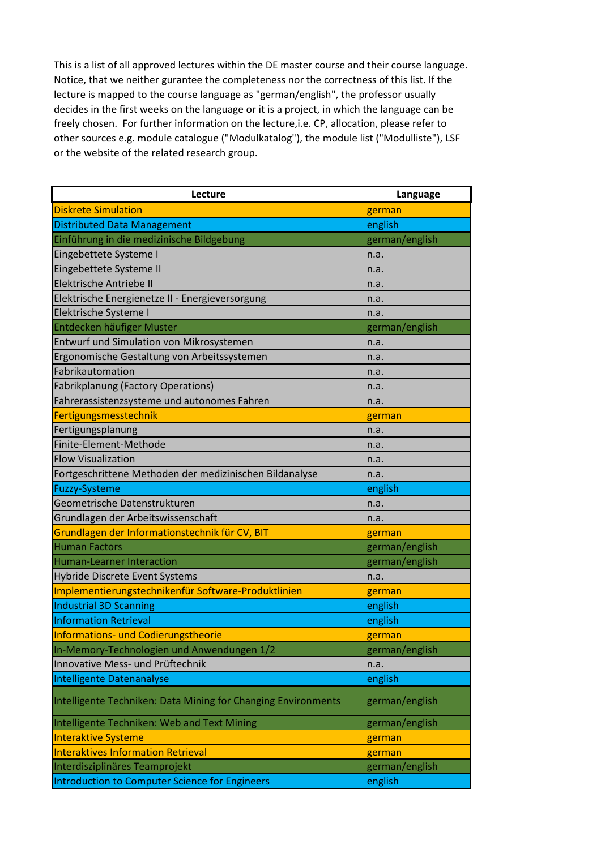| Lecture                                                       | Language       |
|---------------------------------------------------------------|----------------|
| <b>Diskrete Simulation</b>                                    | german         |
| <b>Distributed Data Management</b>                            | english        |
| Einführung in die medizinische Bildgebung                     | german/english |
| Eingebettete Systeme I                                        | n.a.           |
| Eingebettete Systeme II                                       | n.a.           |
| Elektrische Antriebe II                                       | n.a.           |
| Elektrische Energienetze II - Energieversorgung               | n.a.           |
| Elektrische Systeme I                                         | n.a.           |
| Entdecken häufiger Muster                                     | german/english |
| Entwurf und Simulation von Mikrosystemen                      | n.a.           |
| Ergonomische Gestaltung von Arbeitssystemen                   | n.a.           |
| Fabrikautomation                                              | n.a.           |
| <b>Fabrikplanung (Factory Operations)</b>                     | n.a.           |
| Fahrerassistenzsysteme und autonomes Fahren                   | n.a.           |
| Fertigungsmesstechnik                                         | german         |
| Fertigungsplanung                                             | n.a.           |
| Finite-Element-Methode                                        | n.a.           |
| <b>Flow Visualization</b>                                     | n.a.           |
| Fortgeschrittene Methoden der medizinischen Bildanalyse       | n.a.           |
| <b>Fuzzy-Systeme</b>                                          | english        |
| Geometrische Datenstrukturen                                  | n.a.           |
| Grundlagen der Arbeitswissenschaft                            | n.a.           |
| Grundlagen der Informationstechnik für CV, BIT                | german         |
| <b>Human Factors</b>                                          | german/english |
| <b>Human-Learner Interaction</b>                              | german/english |
| Hybride Discrete Event Systems                                | n.a.           |
| Implementierungstechnikenfür Software-Produktlinien           | german         |
| Industrial 3D Scanning                                        | english        |
| <b>Information Retrieval</b>                                  | english        |
| <b>Informations- und Codierungstheorie</b>                    | german         |
| In-Memory-Technologien und Anwendungen 1/2                    | german/english |
| Innovative Mess- und Prüftechnik                              | n.a.           |
| Intelligente Datenanalyse                                     | english        |
| Intelligente Techniken: Data Mining for Changing Environments | german/english |
| Intelligente Techniken: Web and Text Mining                   | german/english |
| <b>Interaktive Systeme</b>                                    | german         |
| <b>Interaktives Information Retrieval</b>                     | german         |
| Interdisziplinäres Teamprojekt                                | german/english |
| Introduction to Computer Science for Engineers                | english        |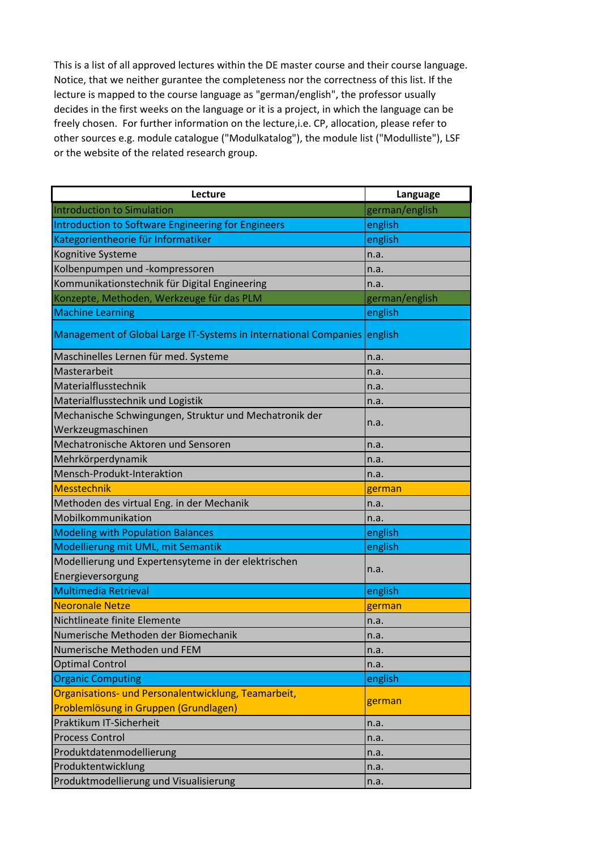| Lecture                                                          | Language       |
|------------------------------------------------------------------|----------------|
| <b>Introduction to Simulation</b>                                | german/english |
| Introduction to Software Engineering for Engineers               | english        |
| Kategorientheorie für Informatiker                               | english        |
| Kognitive Systeme                                                | n.a.           |
| Kolbenpumpen und -kompressoren                                   | n.a.           |
| Kommunikationstechnik für Digital Engineering                    | n.a.           |
| Konzepte, Methoden, Werkzeuge für das PLM                        | german/english |
| <b>Machine Learning</b>                                          | english        |
| Management of Global Large IT-Systems in International Companies | english        |
| Maschinelles Lernen für med. Systeme                             | n.a.           |
| Masterarbeit                                                     | n.a.           |
| Materialflusstechnik                                             | n.a.           |
| Materialflusstechnik und Logistik                                | n.a.           |
| Mechanische Schwingungen, Struktur und Mechatronik der           |                |
| Werkzeugmaschinen                                                | n.a.           |
| Mechatronische Aktoren und Sensoren                              | n.a.           |
| Mehrkörperdynamik                                                | n.a.           |
| Mensch-Produkt-Interaktion                                       | n.a.           |
| <b>Messtechnik</b>                                               | german         |
| Methoden des virtual Eng. in der Mechanik                        | n.a.           |
| Mobilkommunikation                                               | n.a.           |
| <b>Modeling with Population Balances</b>                         | english        |
| Modellierung mit UML, mit Semantik                               | english        |
| Modellierung und Expertensyteme in der elektrischen              | n.a.           |
| Energieversorgung                                                |                |
| <b>Multimedia Retrieval</b>                                      | english        |
| <b>Neoronale Netze</b>                                           | german         |
| Nichtlineate finite Elemente                                     | n.a.           |
| Numerische Methoden der Biomechanik                              | n.a.           |
| Numerische Methoden und FEM                                      | n.a.           |
| <b>Optimal Control</b>                                           | n.a.           |
| <b>Organic Computing</b>                                         | english        |
| Organisations- und Personalentwicklung, Teamarbeit,              | german         |
| Problemlösung in Gruppen (Grundlagen)                            |                |
| Praktikum IT-Sicherheit                                          | n.a.           |
| <b>Process Control</b>                                           | n.a.           |
| Produktdatenmodellierung                                         | n.a.           |
| Produktentwicklung                                               | n.a.           |
| Produktmodellierung und Visualisierung                           | n.a.           |